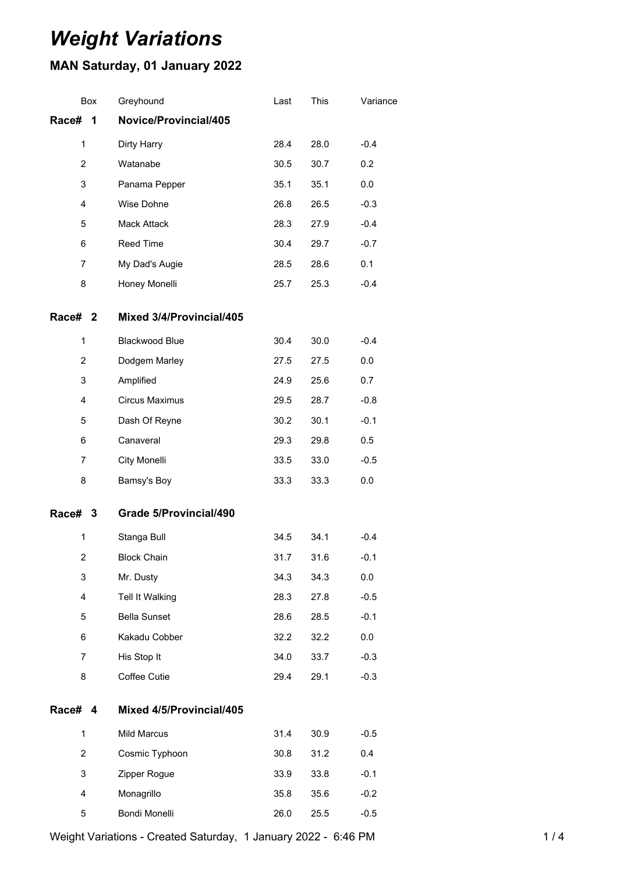# *Weight Variations*

## **MAN Saturday, 01 January 2022**

| Box            | Greyhound                     | Last | This | Variance |
|----------------|-------------------------------|------|------|----------|
| Race#<br>1     | Novice/Provincial/405         |      |      |          |
| 1              | Dirty Harry                   | 28.4 | 28.0 | $-0.4$   |
| 2              | Watanabe                      | 30.5 | 30.7 | 0.2      |
| 3              | Panama Pepper                 | 35.1 | 35.1 | 0.0      |
| 4              | Wise Dohne                    | 26.8 | 26.5 | $-0.3$   |
| 5              | Mack Attack                   | 28.3 | 27.9 | $-0.4$   |
| 6              | Reed Time                     | 30.4 | 29.7 | $-0.7$   |
| 7              | My Dad's Augie                | 28.5 | 28.6 | 0.1      |
| 8              | Honey Monelli                 | 25.7 | 25.3 | $-0.4$   |
| Race# 2        | Mixed 3/4/Provincial/405      |      |      |          |
| $\mathbf{1}$   | Blackwood Blue                | 30.4 | 30.0 | $-0.4$   |
| 2              | Dodgem Marley                 | 27.5 | 27.5 | 0.0      |
| 3              | Amplified                     | 24.9 | 25.6 | 0.7      |
| 4              | Circus Maximus                | 29.5 | 28.7 | $-0.8$   |
| 5              | Dash Of Reyne                 | 30.2 | 30.1 | $-0.1$   |
| 6              | Canaveral                     | 29.3 | 29.8 | 0.5      |
| 7              | City Monelli                  | 33.5 | 33.0 | $-0.5$   |
| 8              | Bamsy's Boy                   | 33.3 | 33.3 | 0.0      |
| Race# 3        | <b>Grade 5/Provincial/490</b> |      |      |          |
| $\mathbf{1}$   | Stanga Bull                   | 34.5 | 34.1 | $-0.4$   |
| $\overline{2}$ | <b>Block Chain</b>            | 31.7 | 31.6 | $-0.1$   |
| 3              | Mr. Dusty                     | 34.3 | 34.3 | 0.0      |
| 4              | Tell It Walking               | 28.3 | 27.8 | $-0.5$   |
| 5              | <b>Bella Sunset</b>           | 28.6 | 28.5 | $-0.1$   |
| 6              | Kakadu Cobber                 | 32.2 | 32.2 | 0.0      |
| $\overline{7}$ | His Stop It                   | 34.0 | 33.7 | $-0.3$   |
| 8              | Coffee Cutie                  | 29.4 | 29.1 | $-0.3$   |
| Race# 4        | Mixed 4/5/Provincial/405      |      |      |          |
| $\mathbf{1}$   | Mild Marcus                   | 31.4 | 30.9 | $-0.5$   |
| $\overline{2}$ | Cosmic Typhoon                | 30.8 | 31.2 | 0.4      |
| 3              | Zipper Rogue                  | 33.9 | 33.8 | $-0.1$   |
| 4              | Monagrillo                    | 35.8 | 35.6 | $-0.2$   |
| 5              | Bondi Monelli                 | 26.0 | 25.5 | $-0.5$   |

Weight Variations - Created Saturday, 1 January 2022 - 6:46 PM 1 / 4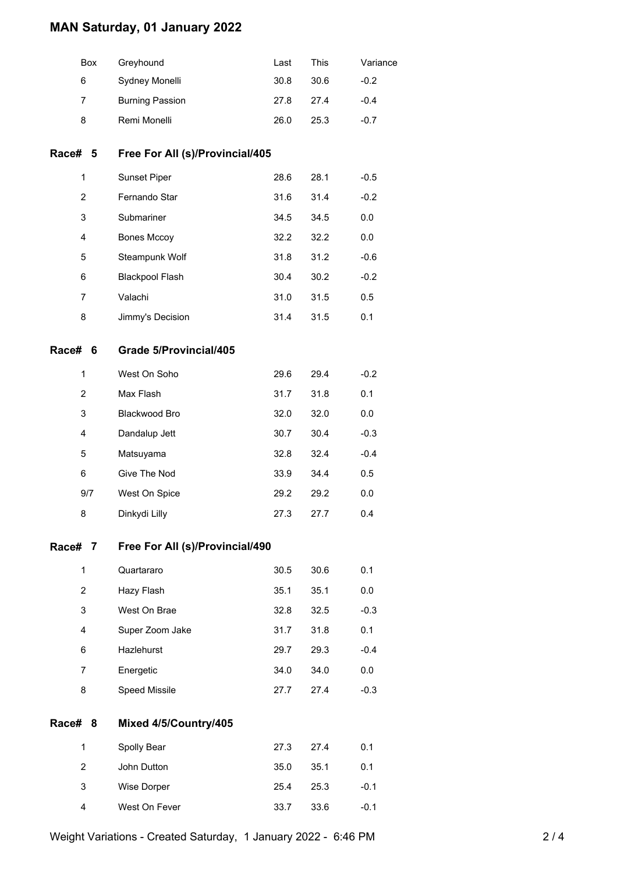## **MAN Saturday, 01 January 2022**

|         | Box            | Greyhound                       | Last | <b>This</b> | Variance |
|---------|----------------|---------------------------------|------|-------------|----------|
|         | 6              | Sydney Monelli                  | 30.8 | 30.6        | $-0.2$   |
|         | 7              | <b>Burning Passion</b>          | 27.8 | 27.4        | $-0.4$   |
|         | 8              | Remi Monelli                    | 26.0 | 25.3        | $-0.7$   |
| Race#   | -5             | Free For All (s)/Provincial/405 |      |             |          |
|         | 1              | Sunset Piper                    | 28.6 | 28.1        | $-0.5$   |
|         | $\overline{c}$ | Fernando Star                   | 31.6 | 31.4        | $-0.2$   |
|         | 3              | Submariner                      | 34.5 | 34.5        | 0.0      |
|         | 4              | <b>Bones Mccoy</b>              | 32.2 | 32.2        | 0.0      |
|         | 5              | Steampunk Wolf                  | 31.8 | 31.2        | $-0.6$   |
|         | 6              | <b>Blackpool Flash</b>          | 30.4 | 30.2        | $-0.2$   |
|         | 7              | Valachi                         | 31.0 | 31.5        | 0.5      |
|         | 8              | Jimmy's Decision                | 31.4 | 31.5        | 0.1      |
| Race# 6 |                | Grade 5/Provincial/405          |      |             |          |
|         | 1              | West On Soho                    | 29.6 | 29.4        | $-0.2$   |
|         | $\overline{c}$ | Max Flash                       | 31.7 | 31.8        | 0.1      |
|         | 3              | Blackwood Bro                   | 32.0 | 32.0        | 0.0      |
|         | 4              | Dandalup Jett                   | 30.7 | 30.4        | $-0.3$   |
|         | 5              | Matsuyama                       | 32.8 | 32.4        | $-0.4$   |
|         | 6              | Give The Nod                    | 33.9 | 34.4        | 0.5      |
|         | 9/7            | West On Spice                   | 29.2 | 29.2        | 0.0      |
|         | 8              | Dinkydi Lilly                   | 27.3 | 27.7        | 0.4      |
| Race#   | 7              | Free For All (s)/Provincial/490 |      |             |          |
|         | 1              | Quartararo                      | 30.5 | 30.6        | 0.1      |
|         | $\overline{c}$ | Hazy Flash                      | 35.1 | 35.1        | 0.0      |
|         | 3              | West On Brae                    | 32.8 | 32.5        | $-0.3$   |
|         | 4              | Super Zoom Jake                 | 31.7 | 31.8        | 0.1      |
|         | 6              | Hazlehurst                      | 29.7 | 29.3        | $-0.4$   |
|         | 7              | Energetic                       | 34.0 | 34.0        | 0.0      |
|         | 8              | Speed Missile                   | 27.7 | 27.4        | $-0.3$   |
| Race#   | -8             | Mixed 4/5/Country/405           |      |             |          |
|         | 1              | Spolly Bear                     | 27.3 | 27.4        | 0.1      |
|         | $\overline{2}$ | John Dutton                     | 35.0 | 35.1        | 0.1      |
|         | 3              | Wise Dorper                     | 25.4 | 25.3        | $-0.1$   |
|         | 4              | West On Fever                   | 33.7 | 33.6        | $-0.1$   |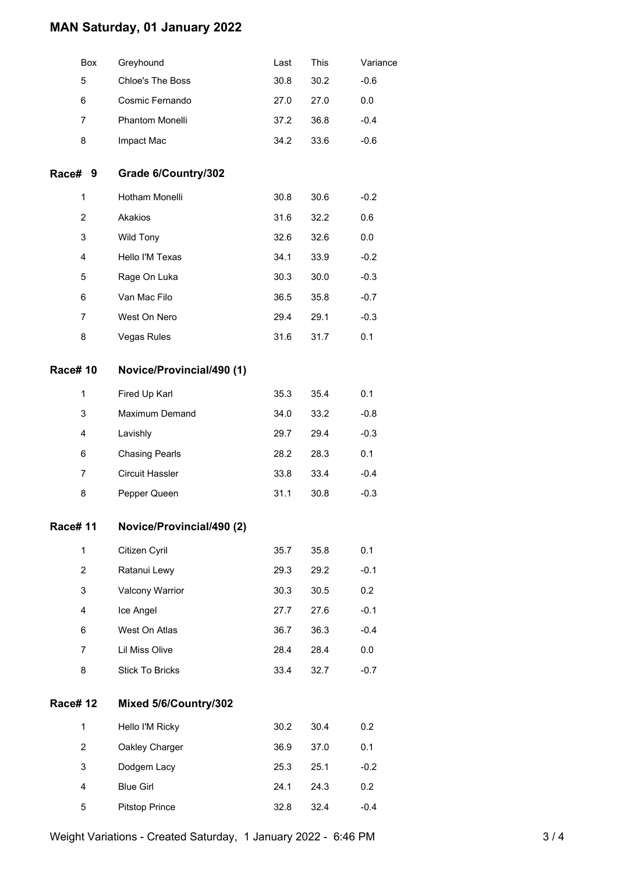## **MAN Saturday, 01 January 2022**

|                 | Box            | Greyhound                 | Last | This | Variance |
|-----------------|----------------|---------------------------|------|------|----------|
|                 | 5              | Chloe's The Boss          | 30.8 | 30.2 | $-0.6$   |
|                 | 6              | Cosmic Fernando           | 27.0 | 27.0 | 0.0      |
|                 | 7              | Phantom Monelli           | 37.2 | 36.8 | $-0.4$   |
|                 | 8              | Impact Mac                | 34.2 | 33.6 | $-0.6$   |
| Race# 9         |                | Grade 6/Country/302       |      |      |          |
|                 | 1              | Hotham Monelli            | 30.8 | 30.6 | $-0.2$   |
|                 | $\overline{2}$ | Akakios                   | 31.6 | 32.2 | 0.6      |
|                 | 3              | Wild Tony                 | 32.6 | 32.6 | 0.0      |
|                 | 4              | Hello I'M Texas           | 34.1 | 33.9 | $-0.2$   |
|                 | 5              | Rage On Luka              | 30.3 | 30.0 | $-0.3$   |
|                 | 6              | Van Mac Filo              | 36.5 | 35.8 | $-0.7$   |
|                 | $\overline{7}$ | West On Nero              | 29.4 | 29.1 | $-0.3$   |
|                 | 8              | Vegas Rules               | 31.6 | 31.7 | 0.1      |
| <b>Race# 10</b> |                | Novice/Provincial/490 (1) |      |      |          |
|                 | 1              | Fired Up Karl             | 35.3 | 35.4 | 0.1      |
|                 | 3              | Maximum Demand            | 34.0 | 33.2 | $-0.8$   |
|                 | 4              | Lavishly                  | 29.7 | 29.4 | $-0.3$   |
|                 | 6              | <b>Chasing Pearls</b>     | 28.2 | 28.3 | 0.1      |
|                 | 7              | <b>Circuit Hassler</b>    | 33.8 | 33.4 | $-0.4$   |
|                 | 8              | Pepper Queen              | 31.1 | 30.8 | $-0.3$   |
| Race# 11        |                | Novice/Provincial/490 (2) |      |      |          |
|                 | $\mathbf{1}$   | Citizen Cyril             | 35.7 | 35.8 | 0.1      |
|                 | $\overline{2}$ | Ratanui Lewy              | 29.3 | 29.2 | $-0.1$   |
|                 | 3              | Valcony Warrior           | 30.3 | 30.5 | 0.2      |
|                 | 4              | Ice Angel                 | 27.7 | 27.6 | $-0.1$   |
|                 | 6              | West On Atlas             | 36.7 | 36.3 | $-0.4$   |
|                 | 7              | Lil Miss Olive            | 28.4 | 28.4 | 0.0      |
|                 | 8              | <b>Stick To Bricks</b>    | 33.4 | 32.7 | $-0.7$   |
| <b>Race# 12</b> |                | Mixed 5/6/Country/302     |      |      |          |
|                 | 1              | Hello I'M Ricky           | 30.2 | 30.4 | 0.2      |
|                 | $\overline{2}$ | Oakley Charger            | 36.9 | 37.0 | 0.1      |
|                 | 3              | Dodgem Lacy               | 25.3 | 25.1 | $-0.2$   |
|                 | 4              | <b>Blue Girl</b>          | 24.1 | 24.3 | 0.2      |
|                 | 5              | <b>Pitstop Prince</b>     | 32.8 | 32.4 | $-0.4$   |